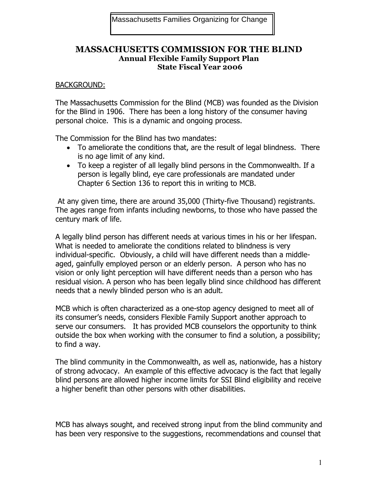## **MASSACHUSETTS COMMISSION FOR THE BLIND Annual Flexible Family Support Plan State Fiscal Year 2006**

#### BACKGROUND:

The Massachusetts Commission for the Blind (MCB) was founded as the Division for the Blind in 1906. There has been a long history of the consumer having personal choice. This is a dynamic and ongoing process.

The Commission for the Blind has two mandates:

- To ameliorate the conditions that, are the result of legal blindness. There is no age limit of any kind.
- To keep a register of all legally blind persons in the Commonwealth. If a person is legally blind, eye care professionals are mandated under Chapter 6 Section 136 to report this in writing to MCB.

 At any given time, there are around 35,000 (Thirty-five Thousand) registrants. The ages range from infants including newborns, to those who have passed the century mark of life.

A legally blind person has different needs at various times in his or her lifespan. What is needed to ameliorate the conditions related to blindness is very individual-specific. Obviously, a child will have different needs than a middleaged, gainfully employed person or an elderly person. A person who has no vision or only light perception will have different needs than a person who has residual vision. A person who has been legally blind since childhood has different needs that a newly blinded person who is an adult.

MCB which is often characterized as a one-stop agency designed to meet all of its consumer's needs, considers Flexible Family Support another approach to serve our consumers. It has provided MCB counselors the opportunity to think outside the box when working with the consumer to find a solution, a possibility; to find a way.

The blind community in the Commonwealth, as well as, nationwide, has a history of strong advocacy. An example of this effective advocacy is the fact that legally blind persons are allowed higher income limits for SSI Blind eligibility and receive a higher benefit than other persons with other disabilities.

MCB has always sought, and received strong input from the blind community and has been very responsive to the suggestions, recommendations and counsel that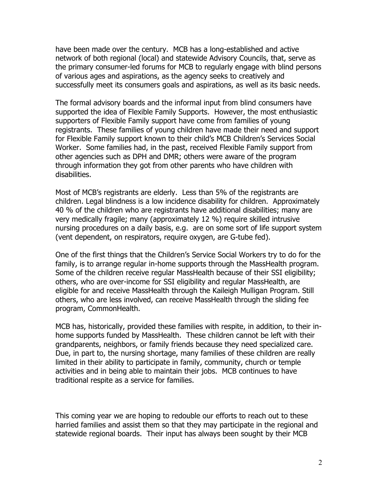have been made over the century. MCB has a long-established and active network of both regional (local) and statewide Advisory Councils, that, serve as the primary consumer-led forums for MCB to regularly engage with blind persons of various ages and aspirations, as the agency seeks to creatively and successfully meet its consumers goals and aspirations, as well as its basic needs.

The formal advisory boards and the informal input from blind consumers have supported the idea of Flexible Family Supports. However, the most enthusiastic supporters of Flexible Family support have come from families of young registrants. These families of young children have made their need and support for Flexible Family support known to their child's MCB Children's Services Social Worker. Some families had, in the past, received Flexible Family support from other agencies such as DPH and DMR; others were aware of the program through information they got from other parents who have children with disabilities.

Most of MCB's registrants are elderly. Less than 5% of the registrants are children. Legal blindness is a low incidence disability for children. Approximately 40 % of the children who are registrants have additional disabilities; many are very medically fragile; many (approximately 12 %) require skilled intrusive nursing procedures on a daily basis, e.g. are on some sort of life support system (vent dependent, on respirators, require oxygen, are G-tube fed).

One of the first things that the Children's Service Social Workers try to do for the family, is to arrange regular in-home supports through the MassHealth program. Some of the children receive regular MassHealth because of their SSI eligibility; others, who are over-income for SSI eligibility and regular MassHealth, are eligible for and receive MassHealth through the Kaileigh Mulligan Program. Still others, who are less involved, can receive MassHealth through the sliding fee program, CommonHealth.

MCB has, historically, provided these families with respite, in addition, to their inhome supports funded by MassHealth. These children cannot be left with their grandparents, neighbors, or family friends because they need specialized care. Due, in part to, the nursing shortage, many families of these children are really limited in their ability to participate in family, community, church or temple activities and in being able to maintain their jobs. MCB continues to have traditional respite as a service for families.

This coming year we are hoping to redouble our efforts to reach out to these harried families and assist them so that they may participate in the regional and statewide regional boards. Their input has always been sought by their MCB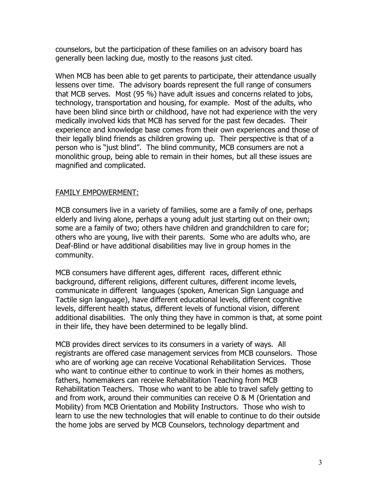counselors, but the participation of these families on an advisory board has generally been lacking due, mostly to the reasons just cited.

When MCB has been able to get parents to participate, their attendance usually lessens over time. The advisory boards represent the full range of consumers that MCB serves. Most (95 %) have adult issues and concerns related to jobs, technology, transportation and housing, for example. Most of the adults, who have been blind since birth or childhood, have not had experience with the very medically involved kids that MCB has served for the past few decades. Their experience and knowledge base comes from their own experiences and those of their legally blind friends as children growing up. Their perspective is that of a person who is "just blind". The blind community, MCB consumers are not a monolithic group, being able to remain in their homes, but all these issues are magnified and complicated.

## FAMILY EMPOWERMENT:

MCB consumers live in a variety of families, some are a family of one, perhaps elderly and living alone, perhaps a young adult just starting out on their own; some are a family of two; others have children and grandchildren to care for; others who are young, live with their parents. Some who are adults who, are Deaf-Blind or have additional disabilities may live in group homes in the community.

MCB consumers have different ages, different races, different ethnic background, different religions, different cultures, different income levels, communicate in different languages (spoken, American Sign Language and Tactile sign language), have different educational levels, different cognitive levels, different health status, different levels of functional vision, different additional disabilities. The only thing they have in common is that, at some point in their life, they have been determined to be legally blind.

MCB provides direct services to its consumers in a variety of ways. All registrants are offered case management services from MCB counselors. Those who are of working age can receive Vocational Rehabilitation Services. Those who want to continue either to continue to work in their homes as mothers, fathers, homemakers can receive Rehabilitation Teaching from MCB Rehabilitation Teachers. Those who want to be able to travel safely getting to and from work, around their communities can receive O & M (Orientation and Mobility) from MCB Orientation and Mobility Instructors. Those who wish to learn to use the new technologies that will enable to continue to do their outside the home jobs are served by MCB Counselors, technology department and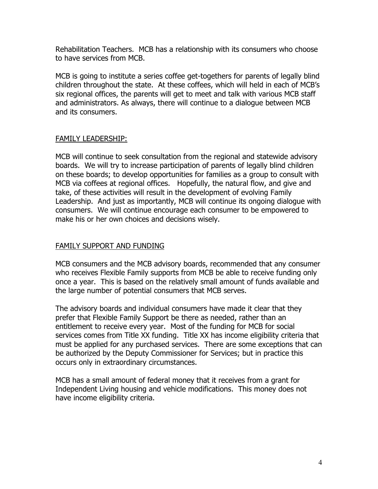Rehabilitation Teachers. MCB has a relationship with its consumers who choose to have services from MCB.

MCB is going to institute a series coffee get-togethers for parents of legally blind children throughout the state. At these coffees, which will held in each of MCB's six regional offices, the parents will get to meet and talk with various MCB staff and administrators. As always, there will continue to a dialogue between MCB and its consumers.

# FAMILY LEADERSHIP:

MCB will continue to seek consultation from the regional and statewide advisory boards. We will try to increase participation of parents of legally blind children on these boards; to develop opportunities for families as a group to consult with MCB via coffees at regional offices. Hopefully, the natural flow, and give and take, of these activities will result in the development of evolving Family Leadership. And just as importantly, MCB will continue its ongoing dialogue with consumers. We will continue encourage each consumer to be empowered to make his or her own choices and decisions wisely.

## FAMILY SUPPORT AND FUNDING

MCB consumers and the MCB advisory boards, recommended that any consumer who receives Flexible Family supports from MCB be able to receive funding only once a year. This is based on the relatively small amount of funds available and the large number of potential consumers that MCB serves.

The advisory boards and individual consumers have made it clear that they prefer that Flexible Family Support be there as needed, rather than an entitlement to receive every year. Most of the funding for MCB for social services comes from Title XX funding. Title XX has income eligibility criteria that must be applied for any purchased services. There are some exceptions that can be authorized by the Deputy Commissioner for Services; but in practice this occurs only in extraordinary circumstances.

MCB has a small amount of federal money that it receives from a grant for Independent Living housing and vehicle modifications. This money does not have income eligibility criteria.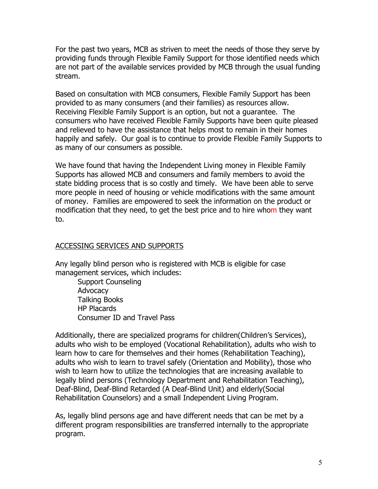For the past two years, MCB as striven to meet the needs of those they serve by providing funds through Flexible Family Support for those identified needs which are not part of the available services provided by MCB through the usual funding stream.

Based on consultation with MCB consumers, Flexible Family Support has been provided to as many consumers (and their families) as resources allow. Receiving Flexible Family Support is an option, but not a guarantee. The consumers who have received Flexible Family Supports have been quite pleased and relieved to have the assistance that helps most to remain in their homes happily and safely. Our goal is to continue to provide Flexible Family Supports to as many of our consumers as possible.

We have found that having the Independent Living money in Flexible Family Supports has allowed MCB and consumers and family members to avoid the state bidding process that is so costly and timely. We have been able to serve more people in need of housing or vehicle modifications with the same amount of money. Families are empowered to seek the information on the product or modification that they need, to get the best price and to hire whom they want to.

## ACCESSING SERVICES AND SUPPORTS

Any legally blind person who is registered with MCB is eligible for case management services, which includes:

 Support Counseling Advocacy Talking Books HP Placards Consumer ID and Travel Pass

Additionally, there are specialized programs for children(Children's Services), adults who wish to be employed (Vocational Rehabilitation), adults who wish to learn how to care for themselves and their homes (Rehabilitation Teaching), adults who wish to learn to travel safely (Orientation and Mobility), those who wish to learn how to utilize the technologies that are increasing available to legally blind persons (Technology Department and Rehabilitation Teaching), Deaf-Blind, Deaf-Blind Retarded (A Deaf-Blind Unit) and elderly(Social Rehabilitation Counselors) and a small Independent Living Program.

As, legally blind persons age and have different needs that can be met by a different program responsibilities are transferred internally to the appropriate program.